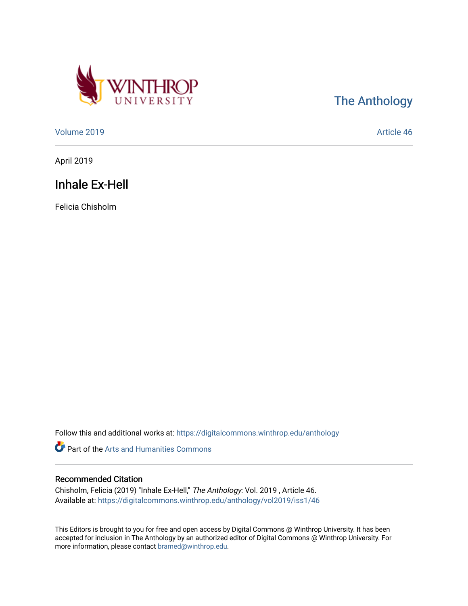

[The Anthology](https://digitalcommons.winthrop.edu/anthology) 

[Volume 2019](https://digitalcommons.winthrop.edu/anthology/vol2019) [Article 46](https://digitalcommons.winthrop.edu/anthology/vol2019/iss1/46) 

April 2019

# Inhale Ex-Hell

Felicia Chisholm

Follow this and additional works at: [https://digitalcommons.winthrop.edu/anthology](https://digitalcommons.winthrop.edu/anthology?utm_source=digitalcommons.winthrop.edu%2Fanthology%2Fvol2019%2Fiss1%2F46&utm_medium=PDF&utm_campaign=PDFCoverPages) 

Part of the [Arts and Humanities Commons](http://network.bepress.com/hgg/discipline/438?utm_source=digitalcommons.winthrop.edu%2Fanthology%2Fvol2019%2Fiss1%2F46&utm_medium=PDF&utm_campaign=PDFCoverPages) 

### Recommended Citation

Chisholm, Felicia (2019) "Inhale Ex-Hell," The Anthology: Vol. 2019 , Article 46. Available at: [https://digitalcommons.winthrop.edu/anthology/vol2019/iss1/46](https://digitalcommons.winthrop.edu/anthology/vol2019/iss1/46?utm_source=digitalcommons.winthrop.edu%2Fanthology%2Fvol2019%2Fiss1%2F46&utm_medium=PDF&utm_campaign=PDFCoverPages) 

This Editors is brought to you for free and open access by Digital Commons @ Winthrop University. It has been accepted for inclusion in The Anthology by an authorized editor of Digital Commons @ Winthrop University. For more information, please contact [bramed@winthrop.edu](mailto:bramed@winthrop.edu).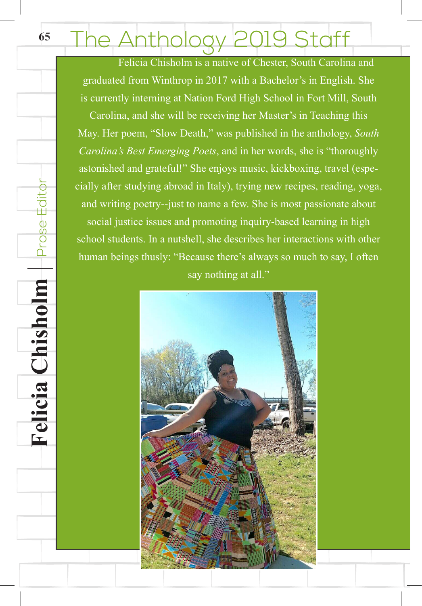## **65**hthology 2019 Staff

 Felicia Chisholm is a native of Chester, South Carolina and graduated from Winthrop in 2017 with a Bachelor's in English. She is currently interning at Nation Ford High School in Fort Mill, South

Carolina, and she will be receiving her Master's in Teaching this May. Her poem, "Slow Death," was published in the anthology, *South Carolina's Best Emerging Poets*, and in her words, she is "thoroughly astonished and grateful!" She enjoys music, kickboxing, travel (especially after studying abroad in Italy), trying new recipes, reading, yoga, and writing poetry--just to name a few. She is most passionate about social justice issues and promoting inquiry-based learning in high school students. In a nutshell, she describes her interactions with other human beings thusly: "Because there's always so much to say, I often